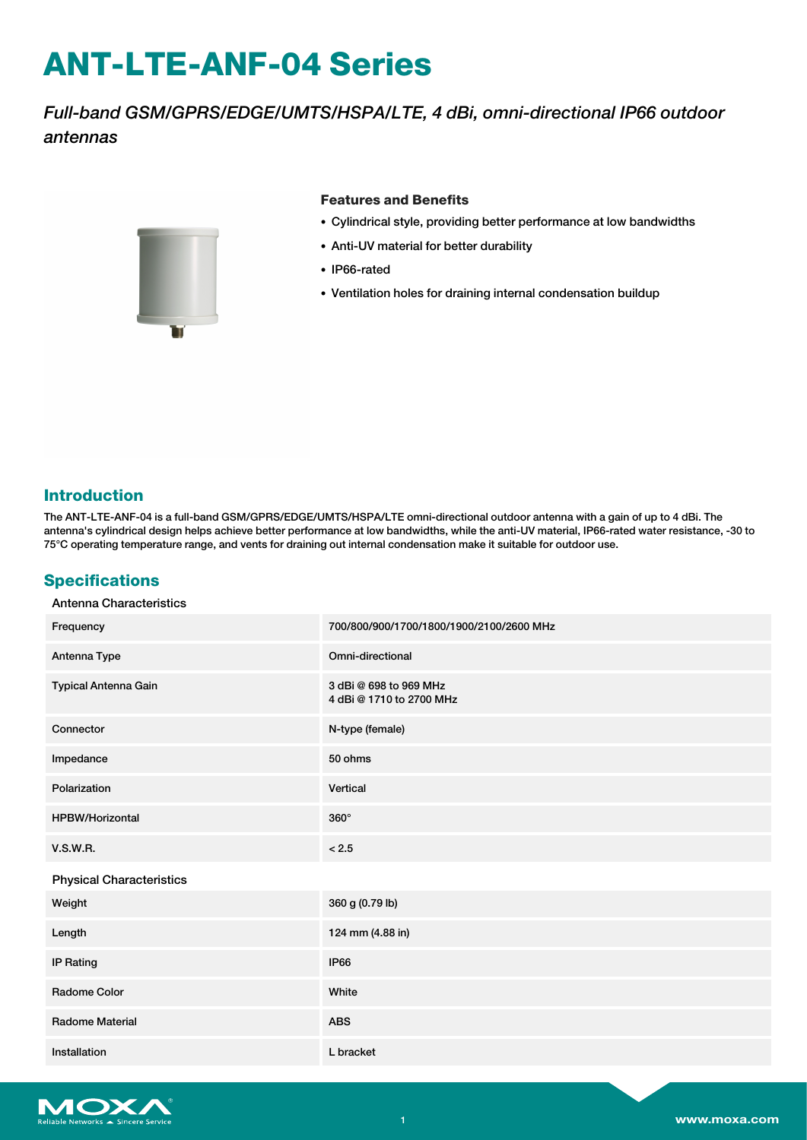# **ANT-LTE-ANF-04 Series**

## *Full-band GSM/GPRS/EDGE/UMTS/HSPA/LTE, 4 dBi, omni-directional IP66 outdoor antennas*



#### **Features and Benefits**

- Cylindrical style, providing better performance at low bandwidths
- Anti-UV material for better durability
- IP66-rated
- Ventilation holes for draining internal condensation buildup

#### **Introduction**

The ANT-LTE-ANF-04 is a full-band GSM/GPRS/EDGE/UMTS/HSPA/LTE omni-directional outdoor antenna with a gain of up to 4 dBi. The antenna's cylindrical design helps achieve better performance at low bandwidths, while the anti-UV material, IP66-rated water resistance, -30 to 75°C operating temperature range, and vents for draining out internal condensation make it suitable for outdoor use.

#### **Specifications**

| Frequency                       | 700/800/900/1700/1800/1900/2100/2600 MHz           |
|---------------------------------|----------------------------------------------------|
| Antenna Type                    | Omni-directional                                   |
| Typical Antenna Gain            | 3 dBi @ 698 to 969 MHz<br>4 dBi @ 1710 to 2700 MHz |
| Connector                       | N-type (female)                                    |
| Impedance                       | 50 ohms                                            |
| Polarization                    | Vertical                                           |
| <b>HPBW/Horizontal</b>          | $360^\circ$                                        |
| <b>V.S.W.R.</b>                 | < 2.5                                              |
| <b>Physical Characteristics</b> |                                                    |
| Weight                          | 360 g (0.79 lb)                                    |
| Length                          | 124 mm (4.88 in)                                   |
| <b>IP Rating</b>                | <b>IP66</b>                                        |
| Radome Color                    | White                                              |
| Radome Material                 | <b>ABS</b>                                         |
| Installation                    | L bracket                                          |